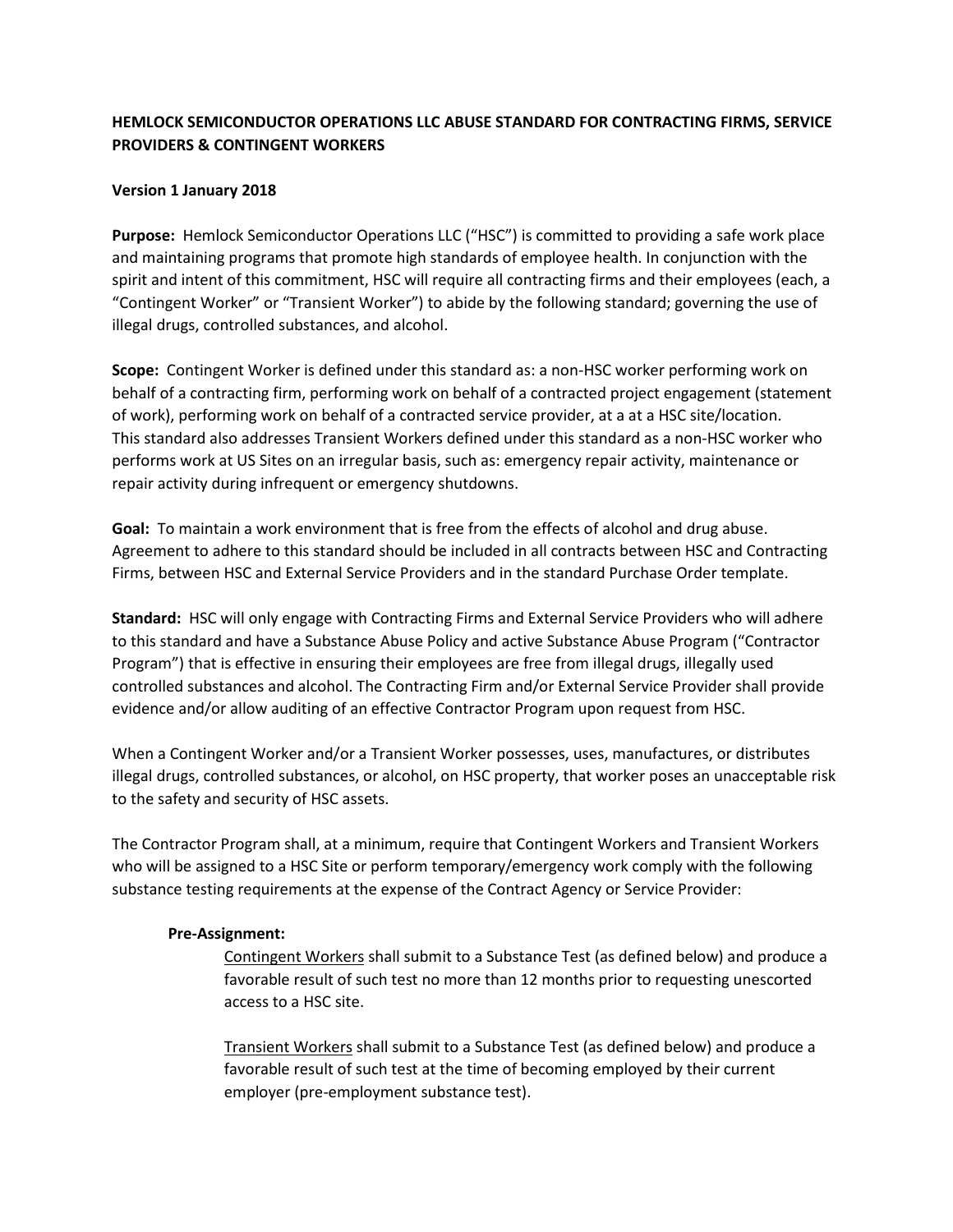## **HEMLOCK SEMICONDUCTOR OPERATIONS LLC ABUSE STANDARD FOR CONTRACTING FIRMS, SERVICE PROVIDERS & CONTINGENT WORKERS**

## **Version 1 January 2018**

**Purpose:** Hemlock Semiconductor Operations LLC ("HSC") is committed to providing a safe work place and maintaining programs that promote high standards of employee health. In conjunction with the spirit and intent of this commitment, HSC will require all contracting firms and their employees (each, a "Contingent Worker" or "Transient Worker") to abide by the following standard; governing the use of illegal drugs, controlled substances, and alcohol.

**Scope:** Contingent Worker is defined under this standard as: a non-HSC worker performing work on behalf of a contracting firm, performing work on behalf of a contracted project engagement (statement of work), performing work on behalf of a contracted service provider, at a at a HSC site/location. This standard also addresses Transient Workers defined under this standard as a non-HSC worker who performs work at US Sites on an irregular basis, such as: emergency repair activity, maintenance or repair activity during infrequent or emergency shutdowns.

**Goal:** To maintain a work environment that is free from the effects of alcohol and drug abuse. Agreement to adhere to this standard should be included in all contracts between HSC and Contracting Firms, between HSC and External Service Providers and in the standard Purchase Order template.

**Standard:** HSC will only engage with Contracting Firms and External Service Providers who will adhere to this standard and have a Substance Abuse Policy and active Substance Abuse Program ("Contractor Program") that is effective in ensuring their employees are free from illegal drugs, illegally used controlled substances and alcohol. The Contracting Firm and/or External Service Provider shall provide evidence and/or allow auditing of an effective Contractor Program upon request from HSC.

When a Contingent Worker and/or a Transient Worker possesses, uses, manufactures, or distributes illegal drugs, controlled substances, or alcohol, on HSC property, that worker poses an unacceptable risk to the safety and security of HSC assets.

The Contractor Program shall, at a minimum, require that Contingent Workers and Transient Workers who will be assigned to a HSC Site or perform temporary/emergency work comply with the following substance testing requirements at the expense of the Contract Agency or Service Provider:

## **Pre-Assignment:**

Contingent Workers shall submit to a Substance Test (as defined below) and produce a favorable result of such test no more than 12 months prior to requesting unescorted access to a HSC site.

Transient Workers shall submit to a Substance Test (as defined below) and produce a favorable result of such test at the time of becoming employed by their current employer (pre-employment substance test).